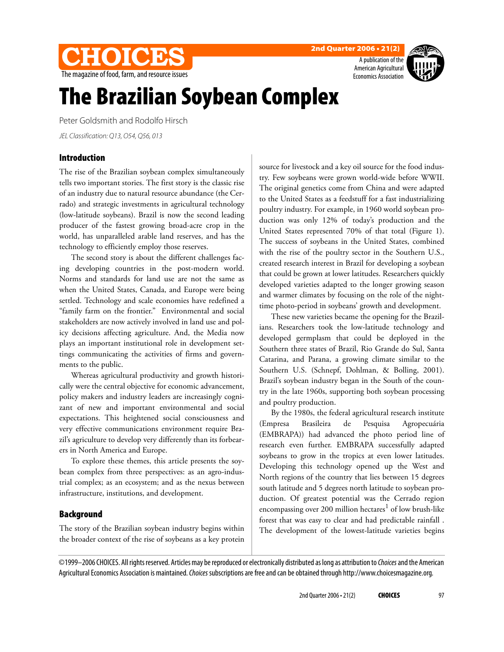

**2nd Quarter 2006 • 21(2)**



# **The Brazilian Soybean Complex**

Peter Goldsmith and Rodolfo Hirsch

JEL Classification: Q13, O54, Q56, 013

# **Introduction**

The rise of the Brazilian soybean complex simultaneously tells two important stories. The first story is the classic rise of an industry due to natural resource abundance (the Cerrado) and strategic investments in agricultural technology (low-latitude soybeans). Brazil is now the second leading producer of the fastest growing broad-acre crop in the world, has unparalleled arable land reserves, and has the technology to efficiently employ those reserves.

The second story is about the different challenges facing developing countries in the post-modern world. Norms and standards for land use are not the same as when the United States, Canada, and Europe were being settled. Technology and scale economies have redefined a "family farm on the frontier." Environmental and social stakeholders are now actively involved in land use and policy decisions affecting agriculture. And, the Media now plays an important institutional role in development settings communicating the activities of firms and governments to the public.

Whereas agricultural productivity and growth historically were the central objective for economic advancement, policy makers and industry leaders are increasingly cognizant of new and important environmental and social expectations. This heightened social consciousness and very effective communications environment require Brazil's agriculture to develop very differently than its forbearers in North America and Europe.

To explore these themes, this article presents the soybean complex from three perspectives: as an agro-industrial complex; as an ecosystem; and as the nexus between infrastructure, institutions, and development.

# **Background**

The story of the Brazilian soybean industry begins within the broader context of the rise of soybeans as a key protein source for livestock and a key oil source for the food industry. Few soybeans were grown world-wide before WWII. The original genetics come from China and were adapted to the United States as a feedstuff for a fast industrializing poultry industry. For example, in 1960 world soybean production was only 12% of today's production and the United States represented 70% of that total (Figure 1). The success of soybeans in the United States, combined with the rise of the poultry sector in the Southern U.S., created research interest in Brazil for developing a soybean that could be grown at lower latitudes. Researchers quickly developed varieties adapted to the longer growing season and warmer climates by focusing on the role of the nighttime photo-period in soybeans' growth and development.

These new varieties became the opening for the Brazilians. Researchers took the low-latitude technology and developed germplasm that could be deployed in the Southern three states of Brazil, Rio Grande do Sul, Santa Catarina, and Parana, a growing climate similar to the Southern U.S. (Schnepf, Dohlman, & Bolling, 2001). Brazil's soybean industry began in the South of the country in the late 1960s, supporting both soybean processing and poultry production.

By the 1980s, the federal agricultural research institute (Empresa Brasileira de Pesquisa Agropecuária (EMBRAPA)) had advanced the photo period line of research even further. EMBRAPA successfully adapted soybeans to grow in the tropics at even lower latitudes. Developing this technology opened up the West and North regions of the country that lies between 15 degrees south latitude and 5 degrees north latitude to soybean production. Of greatest potential was the Cerrado region encompassing over 200 million hectares<sup>1</sup> of low brush-like forest that was easy to clear and had predictable rainfall . The development of the lowest-latitude varieties begins

©1999–2006 CHOICES. All rights reserved. Articles may be reproduced or electronically distributed as long as attribution to Choices and the American Agricultural Economics Association is maintained. Choices subscriptions are free and can be obtained through http://www.choicesmagazine.org.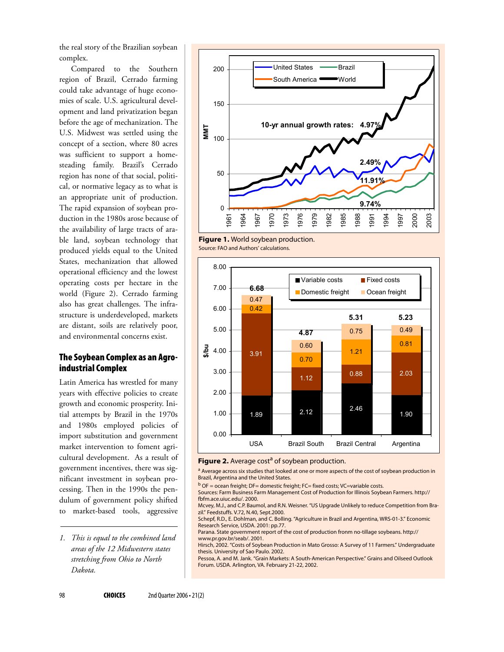the real story of the Brazilian soybean complex.

Compared to the Southern region of Brazil, Cerrado farming could take advantage of huge economies of scale. U.S. agricultural development and land privatization began before the age of mechanization. The U.S. Midwest was settled using the concept of a section, where 80 acres was sufficient to support a homesteading family. Brazil's Cerrado region has none of that social, political, or normative legacy as to what is an appropriate unit of production. The rapid expansion of soybean production in the 1980s arose because of the availability of large tracts of arable land, soybean technology that produced yields equal to the United States, mechanization that allowed operational efficiency and the lowest operating costs per hectare in the world (Figure 2). Cerrado farming also has great challenges. The infrastructure is underdeveloped, markets are distant, soils are relatively poor, and environmental concerns exist.

## **The Soybean Complex as an Agroindustrial Complex**

Latin America has wrestled for many years with effective policies to create growth and economic prosperity. Initial attempts by Brazil in the 1970s and 1980s employed policies of import substitution and government market intervention to foment agricultural development. As a result of government incentives, there was significant investment in soybean processing. Then in the 1990s the pendulum of government policy shifted to market-based tools, aggressive



**Figure 1.** World soybean production. Source: FAO and Authors' calculations.



**Figure 2.** Average cost<sup>a</sup> of soybean production.

<sup>a</sup> Average across six studies that looked at one or more aspects of the cost of soybean production in Brazil, Argentina and the United States.

Mcvey, M.J., and C.P. Baumol, and R.N. Weisner. "US Upgrade Unlikely to reduce Competition from Brazil." Feedstuffs. V.72, N.40, Sept.2000.

Parana. State government report of the cost of production fronm no-tillage soybeans. http:// www.pr.gov.br/seab/. 2001.

Hirsch, 2002. "Costs of Soybean Production in Mato Grosso: A Survey of 11 Farmers." Undergraduate thesis. University of Sao Paulo. 2002.

Pessoa, A. and M. Jank. "Grain Markets: A South-American Perspective." Grains and Oilseed Outlook Forum. USDA. Arlington, VA. February 21-22, 2002.

*<sup>1.</sup> This is equal to the combined land areas of the 12 Midwestern states stretching from Ohio to North Dakota.*

 $b$  OF = ocean freight; DF= domestic freight; FC= fixed costs; VC=variable costs.

Sources: Farm Business Farm Management Cost of Production for Illinois Soybean Farmers. http:// fbfm.ace.uiuc.edu/. 2000.

Schepf, R.D., E. Dohlman, and C. Bolling. "Agriculture in Brazil and Argentina, WRS-01-3." Economic Research Service, USDA. 2001: pp.77.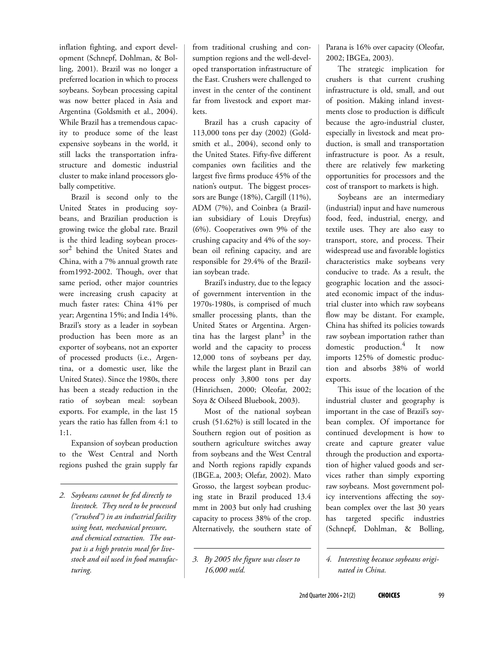inflation fighting, and export development (Schnepf, Dohlman, & Bolling, 2001). Brazil was no longer a preferred location in which to process soybeans. Soybean processing capital was now better placed in Asia and Argentina (Goldsmith et al., 2004). While Brazil has a tremendous capacity to produce some of the least expensive soybeans in the world, it still lacks the transportation infrastructure and domestic industrial cluster to make inland processors globally competitive.

Brazil is second only to the United States in producing soybeans, and Brazilian production is growing twice the global rate. Brazil is the third leading soybean processor2 behind the United States and China, with a 7% annual growth rate from1992-2002. Though, over that same period, other major countries were increasing crush capacity at much faster rates: China 41% per year; Argentina 15%; and India 14%. Brazil's story as a leader in soybean production has been more as an exporter of soybeans, not an exporter of processed products (i.e., Argentina, or a domestic user, like the United States). Since the 1980s, there has been a steady reduction in the ratio of soybean meal: soybean exports. For example, in the last 15 years the ratio has fallen from 4:1 to 1:1.

Expansion of soybean production to the West Central and North regions pushed the grain supply far

*2. Soybeans cannot be fed directly to livestock. They need to be processed ("crushed") in an industrial facility using heat, mechanical pressure, and chemical extraction. The output is a high protein meal for livestock and oil used in food manufacturing.*

from traditional crushing and consumption regions and the well-developed transportation infrastructure of the East. Crushers were challenged to invest in the center of the continent far from livestock and export markets.

Brazil has a crush capacity of 113,000 tons per day (2002) (Goldsmith et al., 2004), second only to the United States. Fifty-five different companies own facilities and the largest five firms produce 45% of the nation's output. The biggest processors are Bunge (18%), Cargill (11%), ADM (7%), and Coinbra (a Brazilian subsidiary of Louis Dreyfus) (6%). Cooperatives own 9% of the crushing capacity and 4% of the soybean oil refining capacity, and are responsible for 29.4% of the Brazilian soybean trade.

Brazil's industry, due to the legacy of government intervention in the 1970s-1980s, is comprised of much smaller processing plants, than the United States or Argentina. Argentina has the largest plant $^3$  in the world and the capacity to process 12,000 tons of soybeans per day, while the largest plant in Brazil can process only 3,800 tons per day (Hinrichsen, 2000; Oleofar, 2002; Soya & Oilseed Bluebook, 2003).

Most of the national soybean crush (51.62%) is still located in the Southern region out of position as southern agriculture switches away from soybeans and the West Central and North regions rapidly expands (IBGE.a, 2003; Olefar, 2002). Mato Grosso, the largest soybean producing state in Brazil produced 13.4 mmt in 2003 but only had crushing capacity to process 38% of the crop. Alternatively, the southern state of

*3. By 2005 the figure was closer to 16,000 mt/d.*

Parana is 16% over capacity (Oleofar, 2002; IBGEa, 2003).

The strategic implication for crushers is that current crushing infrastructure is old, small, and out of position. Making inland investments close to production is difficult because the agro-industrial cluster, especially in livestock and meat production, is small and transportation infrastructure is poor. As a result, there are relatively few marketing opportunities for processors and the cost of transport to markets is high.

Soybeans are an intermediary (industrial) input and have numerous food, feed, industrial, energy, and textile uses. They are also easy to transport, store, and process. Their widespread use and favorable logistics characteristics make soybeans very conducive to trade. As a result, the geographic location and the associated economic impact of the industrial cluster into which raw soybeans flow may be distant. For example, China has shifted its policies towards raw soybean importation rather than domestic production.<sup>4</sup> It now imports 125% of domestic production and absorbs 38% of world exports.

This issue of the location of the industrial cluster and geography is important in the case of Brazil's soybean complex. Of importance for continued development is how to create and capture greater value through the production and exportation of higher valued goods and services rather than simply exporting raw soybeans. Most government policy interventions affecting the soybean complex over the last 30 years has targeted specific industries (Schnepf, Dohlman, & Bolling,

*<sup>4.</sup> Interesting because soybeans originated in China.*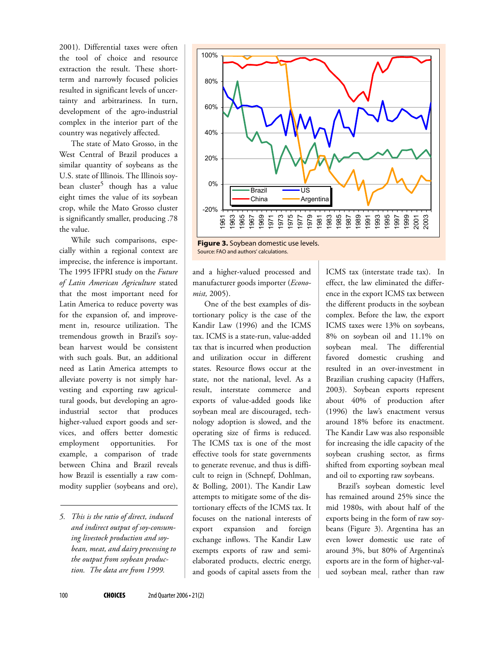2001). Differential taxes were often the tool of choice and resource extraction the result. These shortterm and narrowly focused policies resulted in significant levels of uncertainty and arbitrariness. In turn, development of the agro-industrial complex in the interior part of the country was negatively affected.

The state of Mato Grosso, in the West Central of Brazil produces a similar quantity of soybeans as the U.S. state of Illinois. The Illinois soybean cluster<sup>5</sup> though has a value eight times the value of its soybean crop, while the Mato Grosso cluster is significantly smaller, producing .78 the value.

While such comparisons, especially within a regional context are imprecise, the inference is important. The 1995 IFPRI study on the *Future of Latin American Agriculture* stated that the most important need for Latin America to reduce poverty was for the expansion of, and improvement in, resource utilization. The tremendous growth in Brazil's soybean harvest would be consistent with such goals. But, an additional need as Latin America attempts to alleviate poverty is not simply harvesting and exporting raw agricultural goods, but developing an agroindustrial sector that produces higher-valued export goods and services, and offers better domestic employment opportunities. For example, a comparison of trade between China and Brazil reveals how Brazil is essentially a raw commodity supplier (soybeans and ore),

*5. This is the ratio of direct, induced and indirect output of soy-consuming livestock production and soybean, meat, and dairy processing to the output from soybean production. The data are from 1999.*



Source: FAO and authors' calculations.

and a higher-valued processed and manufacturer goods importer (*Economist,* 2005).

One of the best examples of distortionary policy is the case of the Kandir Law (1996) and the ICMS tax. ICMS is a state-run, value-added tax that is incurred when production and utilization occur in different states. Resource flows occur at the state, not the national, level. As a result, interstate commerce and exports of value-added goods like soybean meal are discouraged, technology adoption is slowed, and the operating size of firms is reduced. The ICMS tax is one of the most effective tools for state governments to generate revenue, and thus is difficult to reign in (Schnepf, Dohlman, & Bolling, 2001). The Kandir Law attempts to mitigate some of the distortionary effects of the ICMS tax. It focuses on the national interests of export expansion and foreign exchange inflows. The Kandir Law exempts exports of raw and semielaborated products, electric energy, and goods of capital assets from the

ICMS tax (interstate trade tax). In effect, the law eliminated the difference in the export ICMS tax between the different products in the soybean complex. Before the law, the export ICMS taxes were 13% on soybeans, 8% on soybean oil and 11.1% on soybean meal. The differential favored domestic crushing and resulted in an over-investment in Brazilian crushing capacity (Haffers, 2003). Soybean exports represent about 40% of production after (1996) the law's enactment versus around 18% before its enactment. The Kandir Law was also responsible for increasing the idle capacity of the soybean crushing sector, as firms shifted from exporting soybean meal and oil to exporting raw soybeans.

Brazil's soybean domestic level has remained around 25% since the mid 1980s, with about half of the exports being in the form of raw soybeans (Figure 3). Argentina has an even lower domestic use rate of around 3%, but 80% of Argentina's exports are in the form of higher-valued soybean meal, rather than raw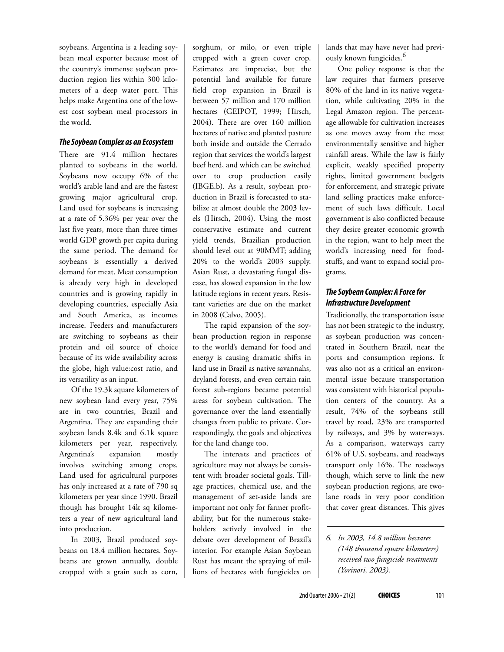soybeans. Argentina is a leading soybean meal exporter because most of the country's immense soybean production region lies within 300 kilometers of a deep water port. This helps make Argentina one of the lowest cost soybean meal processors in the world.

#### *The Soybean Complex as an Ecosystem*

There are 91.4 million hectares planted to soybeans in the world. Soybeans now occupy 6% of the world's arable land and are the fastest growing major agricultural crop. Land used for soybeans is increasing at a rate of 5.36% per year over the last five years, more than three times world GDP growth per capita during the same period. The demand for soybeans is essentially a derived demand for meat. Meat consumption is already very high in developed countries and is growing rapidly in developing countries, especially Asia and South America, as incomes increase. Feeders and manufacturers are switching to soybeans as their protein and oil source of choice because of its wide availability across the globe, high value:cost ratio, and its versatility as an input.

Of the 19.3k square kilometers of new soybean land every year, 75% are in two countries, Brazil and Argentina. They are expanding their soybean lands 8.4k and 6.1k square kilometers per year, respectively. Argentina's expansion mostly involves switching among crops. Land used for agricultural purposes has only increased at a rate of 790 sq kilometers per year since 1990. Brazil though has brought 14k sq kilometers a year of new agricultural land into production.

In 2003, Brazil produced soybeans on 18.4 million hectares. Soybeans are grown annually, double cropped with a grain such as corn,

sorghum, or milo, or even triple cropped with a green cover crop. Estimates are imprecise, but the potential land available for future field crop expansion in Brazil is between 57 million and 170 million hectares (GEIPOT, 1999; Hirsch, 2004). There are over 160 million hectares of native and planted pasture both inside and outside the Cerrado region that services the world's largest beef herd, and which can be switched over to crop production easily (IBGE.b). As a result, soybean production in Brazil is forecasted to stabilize at almost double the 2003 levels (Hirsch, 2004). Using the most conservative estimate and current yield trends, Brazilian production should level out at 90MMT; adding 20% to the world's 2003 supply. Asian Rust, a devastating fungal disease, has slowed expansion in the low latitude regions in recent years. Resistant varieties are due on the market in 2008 (Calvo, 2005).

The rapid expansion of the soybean production region in response to the world's demand for food and energy is causing dramatic shifts in land use in Brazil as native savannahs, dryland forests, and even certain rain forest sub-regions became potential areas for soybean cultivation. The governance over the land essentially changes from public to private. Correspondingly, the goals and objectives for the land change too.

The interests and practices of agriculture may not always be consistent with broader societal goals. Tillage practices, chemical use, and the management of set-aside lands are important not only for farmer profitability, but for the numerous stakeholders actively involved in the debate over development of Brazil's interior. For example Asian Soybean Rust has meant the spraying of millions of hectares with fungicides on

lands that may have never had previously known fungicides.6

One policy response is that the law requires that farmers preserve 80% of the land in its native vegetation, while cultivating 20% in the Legal Amazon region. The percentage allowable for cultivation increases as one moves away from the most environmentally sensitive and higher rainfall areas. While the law is fairly explicit, weakly specified property rights, limited government budgets for enforcement, and strategic private land selling practices make enforcement of such laws difficult. Local government is also conflicted because they desire greater economic growth in the region, want to help meet the world's increasing need for foodstuffs, and want to expand social programs.

## *The Soybean Complex: A Force for Infrastructure Development*

Traditionally, the transportation issue has not been strategic to the industry, as soybean production was concentrated in Southern Brazil, near the ports and consumption regions. It was also not as a critical an environmental issue because transportation was consistent with historical population centers of the country. As a result, 74% of the soybeans still travel by road, 23% are transported by railways, and 3% by waterways. As a comparison, waterways carry 61% of U.S. soybeans, and roadways transport only 16%. The roadways though, which serve to link the new soybean production regions, are twolane roads in very poor condition that cover great distances. This gives

*<sup>6.</sup> In 2003, 14.8 million hectares (148 thousand square kilometers) received two fungicide treatments (Yorinori, 2003).*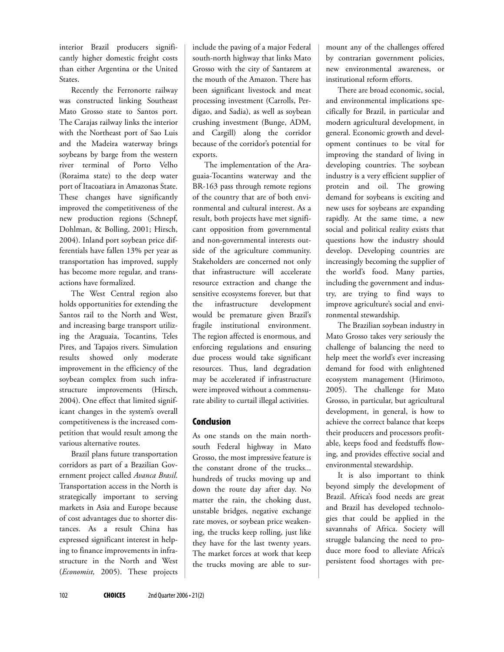interior Brazil producers significantly higher domestic freight costs than either Argentina or the United States.

Recently the Ferronorte railway was constructed linking Southeast Mato Grosso state to Santos port. The Carajas railway links the interior with the Northeast port of Sao Luis and the Madeira waterway brings soybeans by barge from the western river terminal of Porto Velho (Roraima state) to the deep water port of Itacoatiara in Amazonas State. These changes have significantly improved the competitiveness of the new production regions (Schnepf, Dohlman, & Bolling, 2001; Hirsch, 2004). Inland port soybean price differentials have fallen 13% per year as transportation has improved, supply has become more regular, and transactions have formalized.

The West Central region also holds opportunities for extending the Santos rail to the North and West, and increasing barge transport utilizing the Araguaia, Tocantins, Teles Pires, and Tapajos rivers. Simulation results showed only moderate improvement in the efficiency of the soybean complex from such infrastructure improvements (Hirsch, 2004). One effect that limited significant changes in the system's overall competitiveness is the increased competition that would result among the various alternative routes.

Brazil plans future transportation corridors as part of a Brazilian Government project called *Avanca Brasil*. Transportation access in the North is strategically important to serving markets in Asia and Europe because of cost advantages due to shorter distances. As a result China has expressed significant interest in helping to finance improvements in infrastructure in the North and West (*Economist,* 2005). These projects

include the paving of a major Federal south-north highway that links Mato Grosso with the city of Santarem at the mouth of the Amazon. There has been significant livestock and meat processing investment (Carrolls, Perdigao, and Sadia), as well as soybean crushing investment (Bunge, ADM, and Cargill) along the corridor because of the corridor's potential for exports.

The implementation of the Araguaia-Tocantins waterway and the BR-163 pass through remote regions of the country that are of both environmental and cultural interest. As a result, both projects have met significant opposition from governmental and non-governmental interests outside of the agriculture community. Stakeholders are concerned not only that infrastructure will accelerate resource extraction and change the sensitive ecosystems forever, but that the infrastructure development would be premature given Brazil's fragile institutional environment. The region affected is enormous, and enforcing regulations and ensuring due process would take significant resources. Thus, land degradation may be accelerated if infrastructure were improved without a commensurate ability to curtail illegal activities.

### **Conclusion**

As one stands on the main northsouth Federal highway in Mato Grosso, the most impressive feature is the constant drone of the trucks... hundreds of trucks moving up and down the route day after day. No matter the rain, the choking dust, unstable bridges, negative exchange rate moves, or soybean price weakening, the trucks keep rolling, just like they have for the last twenty years. The market forces at work that keep the trucks moving are able to surmount any of the challenges offered by contrarian government policies, new environmental awareness, or institutional reform efforts.

There are broad economic, social, and environmental implications specifically for Brazil, in particular and modern agricultural development, in general. Economic growth and development continues to be vital for improving the standard of living in developing countries. The soybean industry is a very efficient supplier of protein and oil. The growing demand for soybeans is exciting and new uses for soybeans are expanding rapidly. At the same time, a new social and political reality exists that questions how the industry should develop. Developing countries are increasingly becoming the supplier of the world's food. Many parties, including the government and industry, are trying to find ways to improve agriculture's social and environmental stewardship.

The Brazilian soybean industry in Mato Grosso takes very seriously the challenge of balancing the need to help meet the world's ever increasing demand for food with enlightened ecosystem management (Hirimoto, 2005). The challenge for Mato Grosso, in particular, but agricultural development, in general, is how to achieve the correct balance that keeps their producers and processors profitable, keeps food and feedstuffs flowing, and provides effective social and environmental stewardship.

It is also important to think beyond simply the development of Brazil. Africa's food needs are great and Brazil has developed technologies that could be applied in the savannahs of Africa. Society will struggle balancing the need to produce more food to alleviate Africa's persistent food shortages with pre